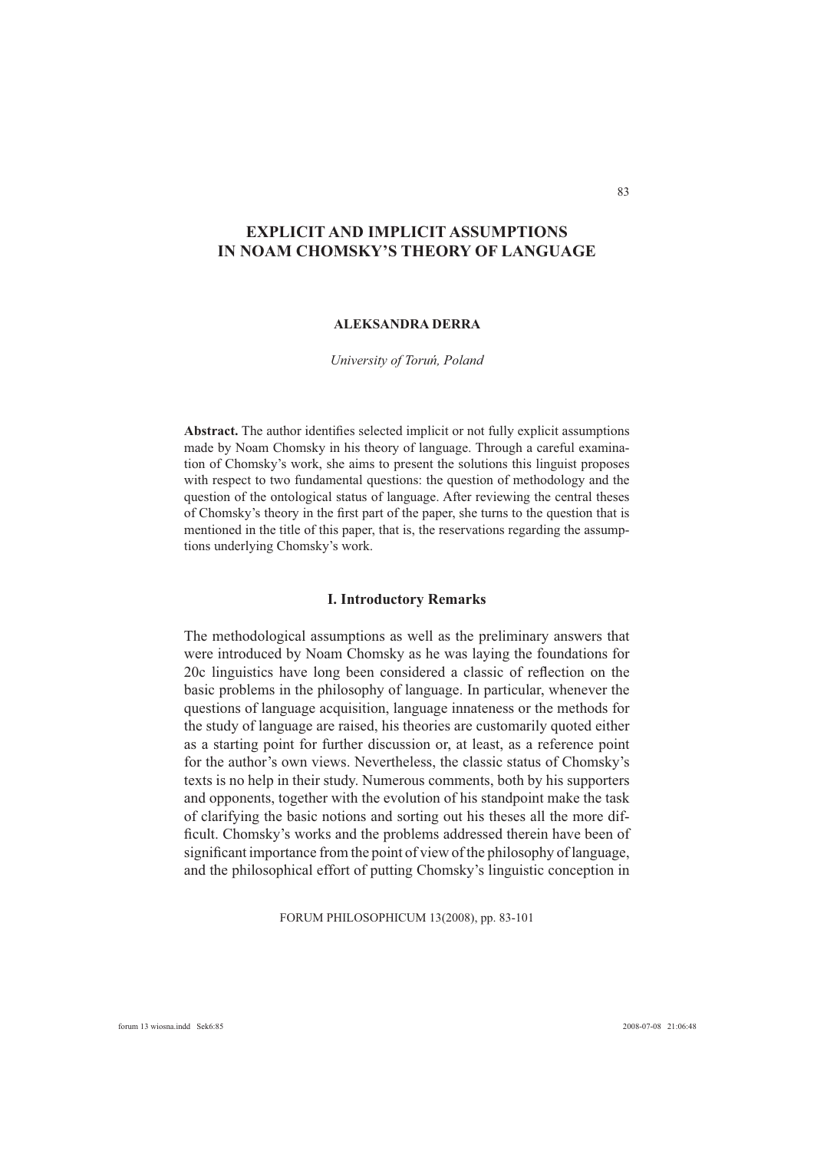# **EXPLICIT AND IMPLICIT ASSUMPTIONS IN NOAM CHOMSKY'S THEORY OF LANGUAGE**

# **ALEKSANDRA DERRA**

#### *University of Toruń, Poland*

Abstract. The author identifies selected implicit or not fully explicit assumptions made by Noam Chomsky in his theory of language. Through a careful examination of Chomsky's work, she aims to present the solutions this linguist proposes with respect to two fundamental questions: the question of methodology and the question of the ontological status of language. After reviewing the central theses of Chomsky's theory in the first part of the paper, she turns to the question that is mentioned in the title of this paper, that is, the reservations regarding the assumptions underlying Chomsky's work.

### **I. Introductory Remarks**

The methodological assumptions as well as the preliminary answers that were introduced by Noam Chomsky as he was laying the foundations for 20c linguistics have long been considered a classic of reflection on the basic problems in the philosophy of language. In particular, whenever the questions of language acquisition, language innateness or the methods for the study of language are raised, his theories are customarily quoted either as a starting point for further discussion or, at least, as a reference point for the author's own views. Nevertheless, the classic status of Chomsky's texts is no help in their study. Numerous comments, both by his supporters and opponents, together with the evolution of his standpoint make the task of clarifying the basic notions and sorting out his theses all the more difficult. Chomsky's works and the problems addressed therein have been of significant importance from the point of view of the philosophy of language. and the philosophical effort of putting Chomsky's linguistic conception in

FORUM PHILOSOPHICUM 13(2008), pp. 83-101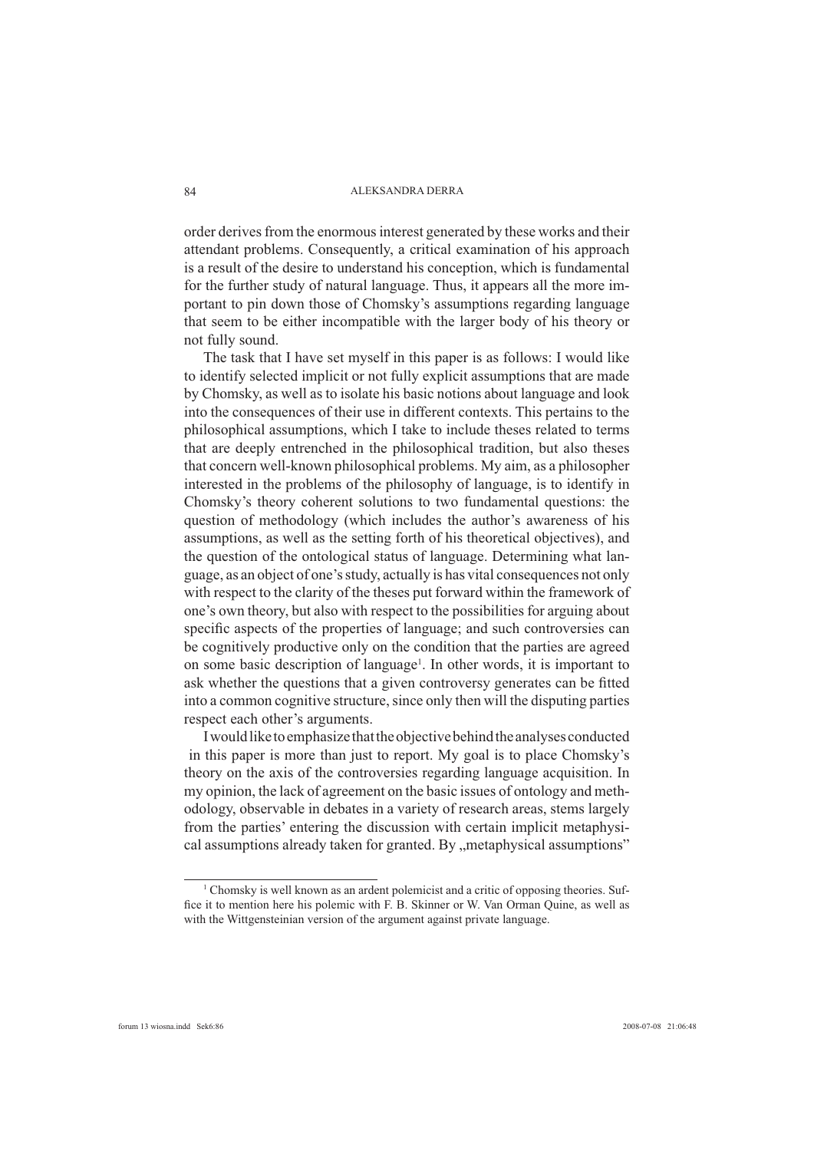order derives from the enormous interest generated by these works and their attendant problems. Consequently, a critical examination of his approach is a result of the desire to understand his conception, which is fundamental for the further study of natural language. Thus, it appears all the more important to pin down those of Chomsky's assumptions regarding language that seem to be either incompatible with the larger body of his theory or not fully sound.

The task that I have set myself in this paper is as follows: I would like to identify selected implicit or not fully explicit assumptions that are made by Chomsky, as well as to isolate his basic notions about language and look into the consequences of their use in different contexts. This pertains to the philosophical assumptions, which I take to include theses related to terms that are deeply entrenched in the philosophical tradition, but also theses that concern well-known philosophical problems. My aim, as a philosopher interested in the problems of the philosophy of language, is to identify in Chomsky's theory coherent solutions to two fundamental questions: the question of methodology (which includes the author's awareness of his assumptions, as well as the setting forth of his theoretical objectives), and the question of the ontological status of language. Determining what language, as an object of one's study, actually is has vital consequences not only with respect to the clarity of the theses put forward within the framework of one's own theory, but also with respect to the possibilities for arguing about specific aspects of the properties of language; and such controversies can be cognitively productive only on the condition that the parties are agreed on some basic description of language<sup>1</sup>. In other words, it is important to ask whether the questions that a given controversy generates can be fitted into a common cognitive structure, since only then will the disputing parties respect each other's arguments.

I would like to emphasize that the objective behind the analyses conducted in this paper is more than just to report. My goal is to place Chomsky's theory on the axis of the controversies regarding language acquisition. In my opinion, the lack of agreement on the basic issues of ontology and methodology, observable in debates in a variety of research areas, stems largely from the parties' entering the discussion with certain implicit metaphysical assumptions already taken for granted. By "metaphysical assumptions"

<sup>&</sup>lt;sup>1</sup> Chomsky is well known as an ardent polemicist and a critic of opposing theories. Suffice it to mention here his polemic with F. B. Skinner or W. Van Orman Quine, as well as with the Wittgensteinian version of the argument against private language.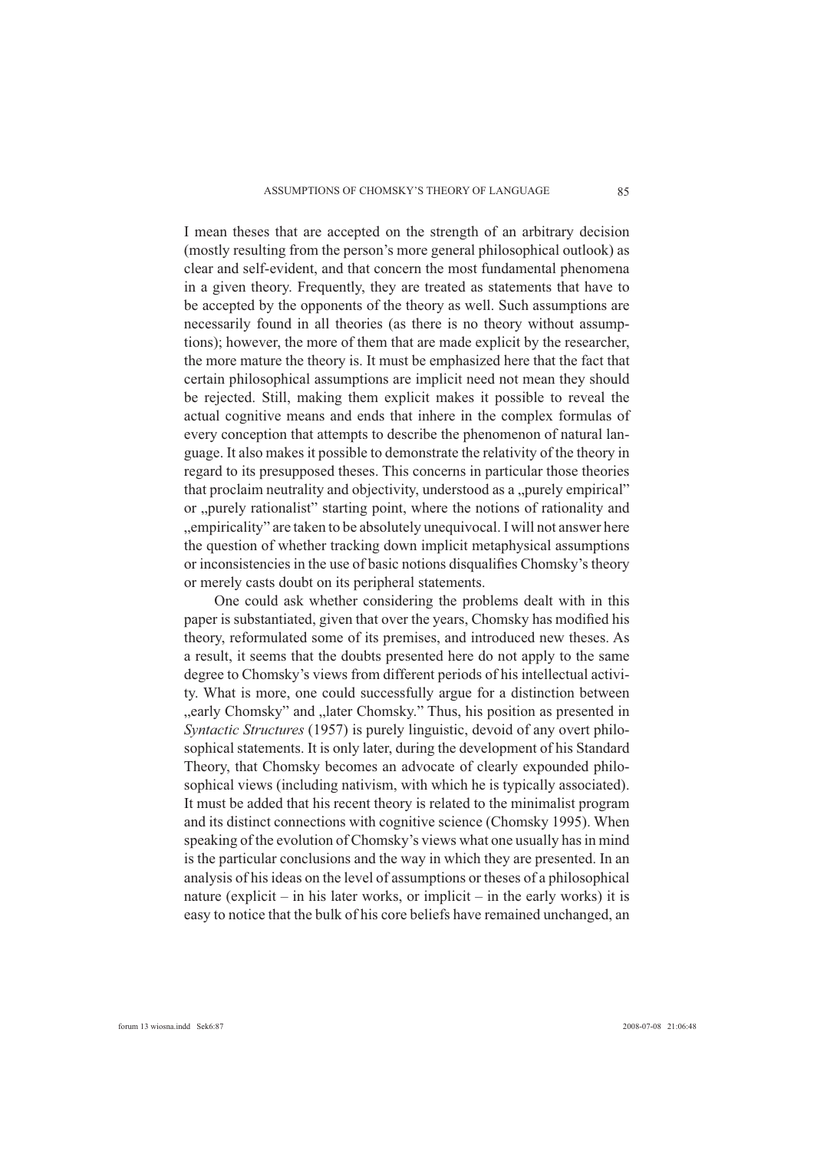I mean theses that are accepted on the strength of an arbitrary decision (mostly resulting from the person's more general philosophical outlook) as clear and self-evident, and that concern the most fundamental phenomena in a given theory. Frequently, they are treated as statements that have to be accepted by the opponents of the theory as well. Such assumptions are necessarily found in all theories (as there is no theory without assumptions); however, the more of them that are made explicit by the researcher, the more mature the theory is. It must be emphasized here that the fact that certain philosophical assumptions are implicit need not mean they should be rejected. Still, making them explicit makes it possible to reveal the actual cognitive means and ends that inhere in the complex formulas of every conception that attempts to describe the phenomenon of natural language. It also makes it possible to demonstrate the relativity of the theory in regard to its presupposed theses. This concerns in particular those theories that proclaim neutrality and objectivity, understood as a "purely empirical" or "purely rationalist" starting point, where the notions of rationality and "empiricality" are taken to be absolutely unequivocal. I will not answer here the question of whether tracking down implicit metaphysical assumptions or inconsistencies in the use of basic notions disqualifies Chomsky's theory or merely casts doubt on its peripheral statements.

 One could ask whether considering the problems dealt with in this paper is substantiated, given that over the years, Chomsky has modified his theory, reformulated some of its premises, and introduced new theses. As a result, it seems that the doubts presented here do not apply to the same degree to Chomsky's views from different periods of his intellectual activity. What is more, one could successfully argue for a distinction between "early Chomsky" and "later Chomsky." Thus, his position as presented in *Syntactic Structures* (1957) is purely linguistic, devoid of any overt philosophical statements. It is only later, during the development of his Standard Theory, that Chomsky becomes an advocate of clearly expounded philosophical views (including nativism, with which he is typically associated). It must be added that his recent theory is related to the minimalist program and its distinct connections with cognitive science (Chomsky 1995). When speaking of the evolution of Chomsky's views what one usually has in mind is the particular conclusions and the way in which they are presented. In an analysis of his ideas on the level of assumptions or theses of a philosophical nature (explicit – in his later works, or implicit – in the early works) it is easy to notice that the bulk of his core beliefs have remained unchanged, an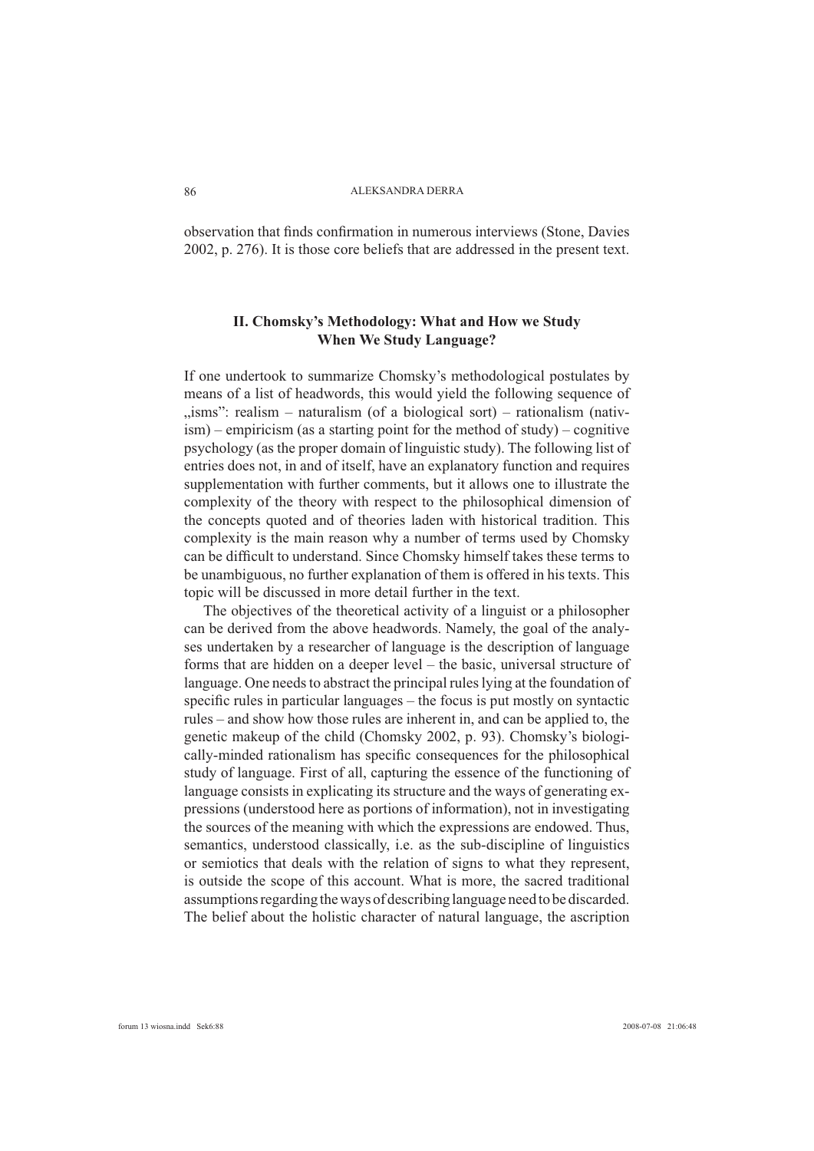observation that finds confirmation in numerous interviews (Stone, Davies 2002, p. 276). It is those core beliefs that are addressed in the present text.

# **II. Chomsky's Methodology: What and How we Study When We Study Language?**

If one undertook to summarize Chomsky's methodological postulates by means of a list of headwords, this would yield the following sequence of  $\ldots$ isms": realism – naturalism (of a biological sort) – rationalism (nativ- $\lim_{h \to 0}$  – empiricism (as a starting point for the method of study) – cognitive psychology (as the proper domain of linguistic study). The following list of entries does not, in and of itself, have an explanatory function and requires supplementation with further comments, but it allows one to illustrate the complexity of the theory with respect to the philosophical dimension of the concepts quoted and of theories laden with historical tradition. This complexity is the main reason why a number of terms used by Chomsky can be difficult to understand. Since Chomsky himself takes these terms to be unambiguous, no further explanation of them is offered in his texts. This topic will be discussed in more detail further in the text.

The objectives of the theoretical activity of a linguist or a philosopher can be derived from the above headwords. Namely, the goal of the analyses undertaken by a researcher of language is the description of language forms that are hidden on a deeper level – the basic, universal structure of language. One needs to abstract the principal rules lying at the foundation of specific rules in particular languages  $-$  the focus is put mostly on syntactic rules – and show how those rules are inherent in, and can be applied to, the genetic makeup of the child (Chomsky 2002, p. 93). Chomsky's biologically-minded rationalism has specific consequences for the philosophical study of language. First of all, capturing the essence of the functioning of language consists in explicating its structure and the ways of generating expressions (understood here as portions of information), not in investigating the sources of the meaning with which the expressions are endowed. Thus, semantics, understood classically, i.e. as the sub-discipline of linguistics or semiotics that deals with the relation of signs to what they represent, is outside the scope of this account. What is more, the sacred traditional assumptions regarding the ways of describing language need to be discarded. The belief about the holistic character of natural language, the ascription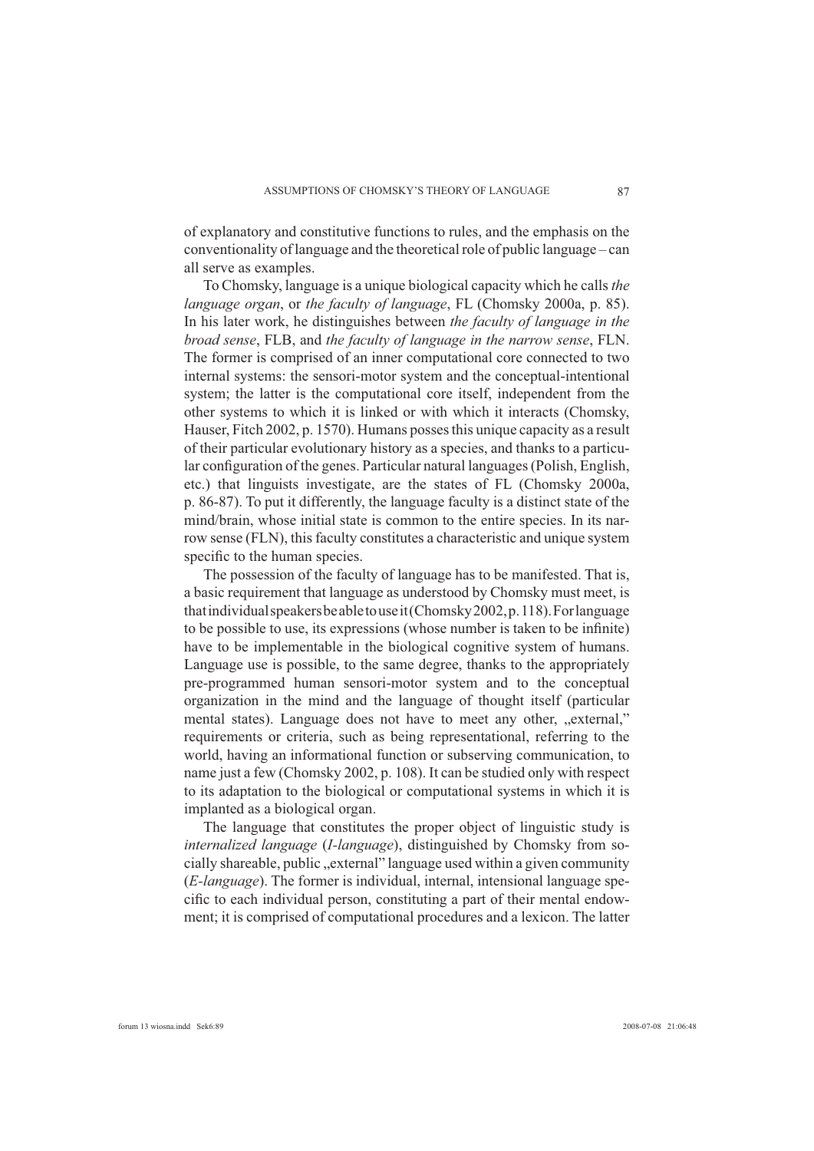of explanatory and constitutive functions to rules, and the emphasis on the conventionality of language and the theoretical role of public language – can all serve as examples.

To Chomsky, language is a unique biological capacity which he calls *the language organ*, or *the faculty of language*, FL (Chomsky 2000a, p. 85). In his later work, he distinguishes between *the faculty of language in the broad sense*, FLB, and *the faculty of language in the narrow sense*, FLN. The former is comprised of an inner computational core connected to two internal systems: the sensori-motor system and the conceptual-intentional system; the latter is the computational core itself, independent from the other systems to which it is linked or with which it interacts (Chomsky, Hauser, Fitch 2002, p. 1570). Humans posses this unique capacity as a result of their particular evolutionary history as a species, and thanks to a particular configuration of the genes. Particular natural languages (Polish, English, etc.) that linguists investigate, are the states of FL (Chomsky 2000a, p. 86-87). To put it differently, the language faculty is a distinct state of the mind/brain, whose initial state is common to the entire species. In its narrow sense (FLN), this faculty constitutes a characteristic and unique system specific to the human species.

The possession of the faculty of language has to be manifested. That is, a basic requirement that language as understood by Chomsky must meet, is that individual speakers be able to use it (Chomsky 2002, p. 118). For language to be possible to use, its expressions (whose number is taken to be infinite) have to be implementable in the biological cognitive system of humans. Language use is possible, to the same degree, thanks to the appropriately pre-programmed human sensori-motor system and to the conceptual organization in the mind and the language of thought itself (particular mental states). Language does not have to meet any other, "external," requirements or criteria, such as being representational, referring to the world, having an informational function or subserving communication, to name just a few (Chomsky 2002, p. 108). It can be studied only with respect to its adaptation to the biological or computational systems in which it is implanted as a biological organ.

The language that constitutes the proper object of linguistic study is *internalized language* (*I-language*), distinguished by Chomsky from socially shareable, public , external" language used within a given community (*E-language*). The former is individual, internal, intensional language specific to each individual person, constituting a part of their mental endowment; it is comprised of computational procedures and a lexicon. The latter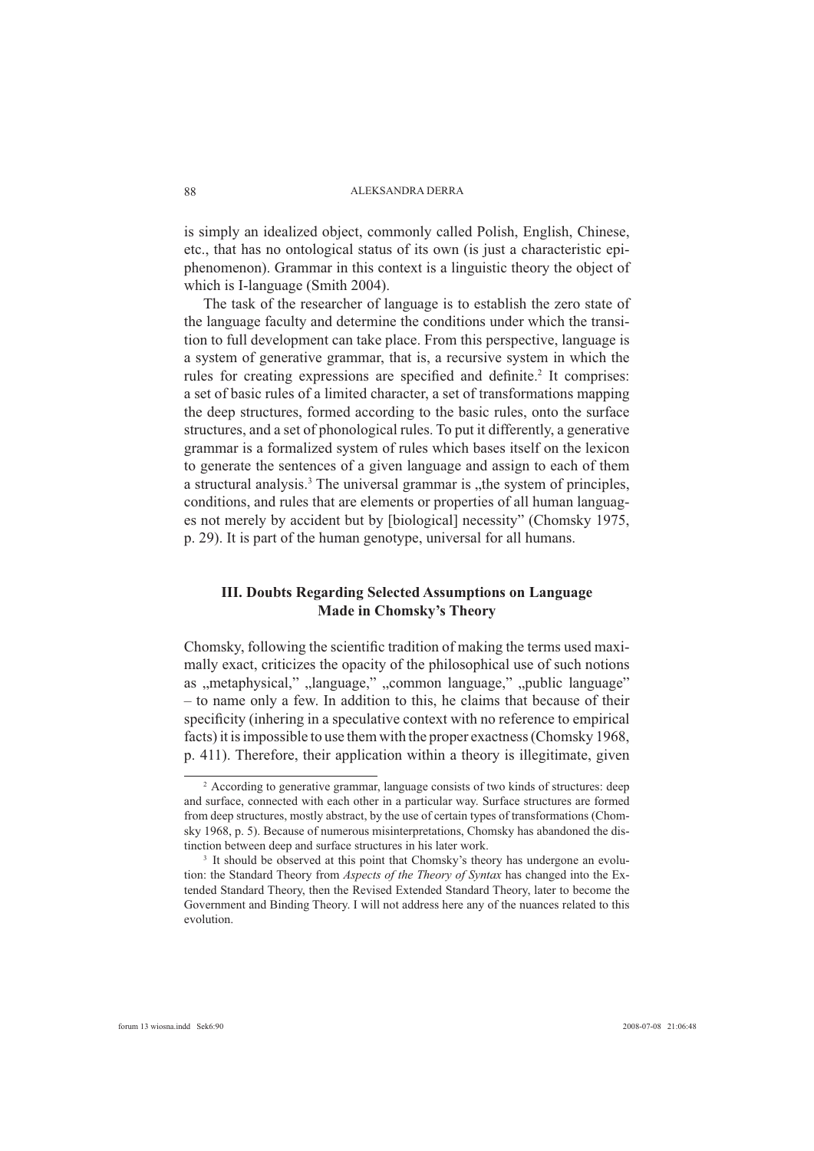is simply an idealized object, commonly called Polish, English, Chinese, etc., that has no ontological status of its own (is just a characteristic epiphenomenon). Grammar in this context is a linguistic theory the object of which is I-language (Smith 2004).

The task of the researcher of language is to establish the zero state of the language faculty and determine the conditions under which the transition to full development can take place. From this perspective, language is a system of generative grammar, that is, a recursive system in which the rules for creating expressions are specified and definite.<sup>2</sup> It comprises: a set of basic rules of a limited character, a set of transformations mapping the deep structures, formed according to the basic rules, onto the surface structures, and a set of phonological rules. To put it differently, a generative grammar is a formalized system of rules which bases itself on the lexicon to generate the sentences of a given language and assign to each of them a structural analysis.<sup>3</sup> The universal grammar is "the system of principles, conditions, and rules that are elements or properties of all human languages not merely by accident but by [biological] necessity" (Chomsky 1975, p. 29). It is part of the human genotype, universal for all humans.

# **III. Doubts Regarding Selected Assumptions on Language Made in Chomsky's Theory**

Chomsky, following the scientific tradition of making the terms used maximally exact, criticizes the opacity of the philosophical use of such notions as "metaphysical," "language," "common language," "public language" – to name only a few. In addition to this, he claims that because of their specificity (inhering in a speculative context with no reference to empirical facts) it is impossible to use them with the proper exactness (Chomsky 1968, p. 411). Therefore, their application within a theory is illegitimate, given

<sup>&</sup>lt;sup>2</sup> According to generative grammar, language consists of two kinds of structures: deep and surface, connected with each other in a particular way. Surface structures are formed from deep structures, mostly abstract, by the use of certain types of transformations (Chomsky 1968, p. 5). Because of numerous misinterpretations, Chomsky has abandoned the distinction between deep and surface structures in his later work.

<sup>&</sup>lt;sup>3</sup> It should be observed at this point that Chomsky's theory has undergone an evolution: the Standard Theory from *Aspects of the Theory of Syntax* has changed into the Extended Standard Theory, then the Revised Extended Standard Theory, later to become the Government and Binding Theory. I will not address here any of the nuances related to this evolution.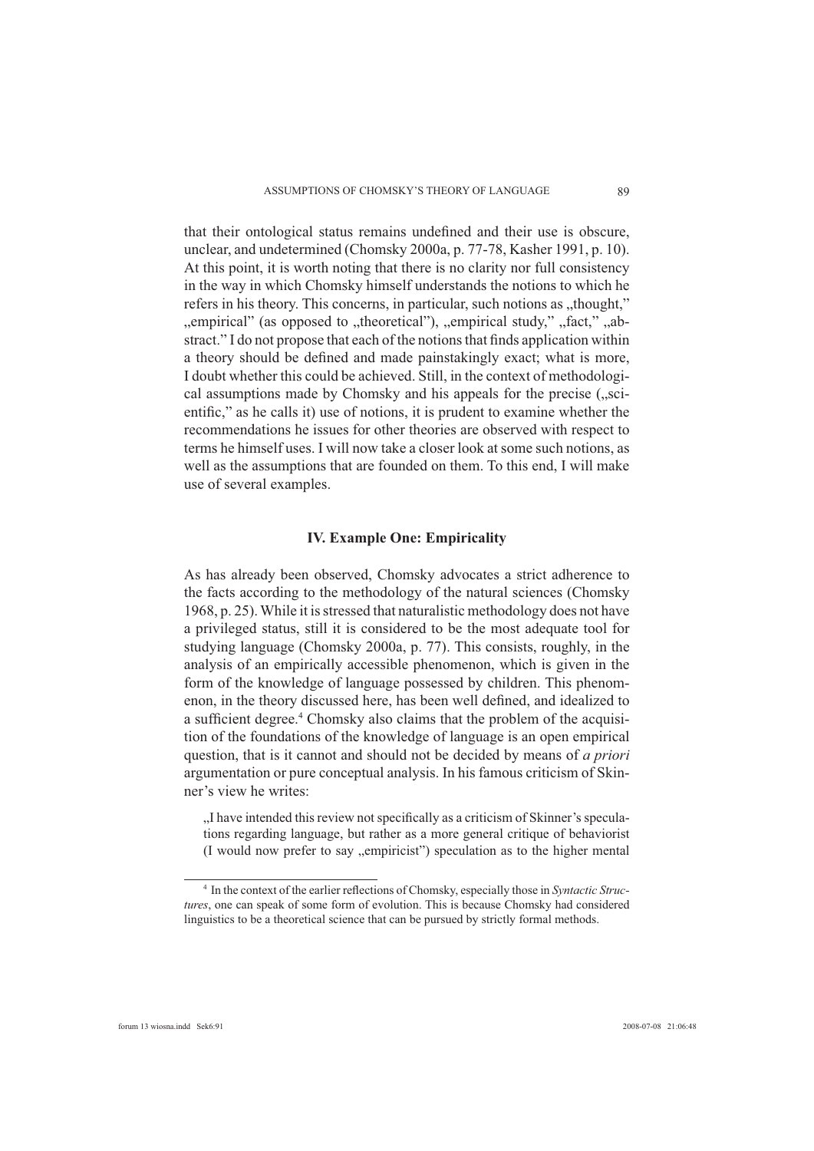that their ontological status remains undefined and their use is obscure, unclear, and undetermined (Chomsky 2000a, p. 77-78, Kasher 1991, p. 10). At this point, it is worth noting that there is no clarity nor full consistency in the way in which Chomsky himself understands the notions to which he refers in his theory. This concerns, in particular, such notions as "thought," ", empirical" (as opposed to "theoretical"), "empirical study," "fact," "abstract." I do not propose that each of the notions that finds application within a theory should be defined and made painstakingly exact; what is more, I doubt whether this could be achieved. Still, in the context of methodological assumptions made by Chomsky and his appeals for the precise ( $\alpha$ scientific," as he calls it) use of notions, it is prudent to examine whether the recommendations he issues for other theories are observed with respect to terms he himself uses. I will now take a closer look at some such notions, as well as the assumptions that are founded on them. To this end, I will make use of several examples.

### **IV. Example One: Empiricality**

As has already been observed, Chomsky advocates a strict adherence to the facts according to the methodology of the natural sciences (Chomsky 1968, p. 25). While it is stressed that naturalistic methodology does not have a privileged status, still it is considered to be the most adequate tool for studying language (Chomsky 2000a, p. 77). This consists, roughly, in the analysis of an empirically accessible phenomenon, which is given in the form of the knowledge of language possessed by children. This phenomenon, in the theory discussed here, has been well defined, and idealized to a sufficient degree.<sup>4</sup> Chomsky also claims that the problem of the acquisition of the foundations of the knowledge of language is an open empirical question, that is it cannot and should not be decided by means of *a priori* argumentation or pure conceptual analysis. In his famous criticism of Skinner's view he writes:

. I have intended this review not specifically as a criticism of Skinner's speculations regarding language, but rather as a more general critique of behaviorist (I would now prefer to say "empiricist") speculation as to the higher mental

<sup>&</sup>lt;sup>4</sup> In the context of the earlier reflections of Chomsky, especially those in *Syntactic Structures*, one can speak of some form of evolution. This is because Chomsky had considered linguistics to be a theoretical science that can be pursued by strictly formal methods.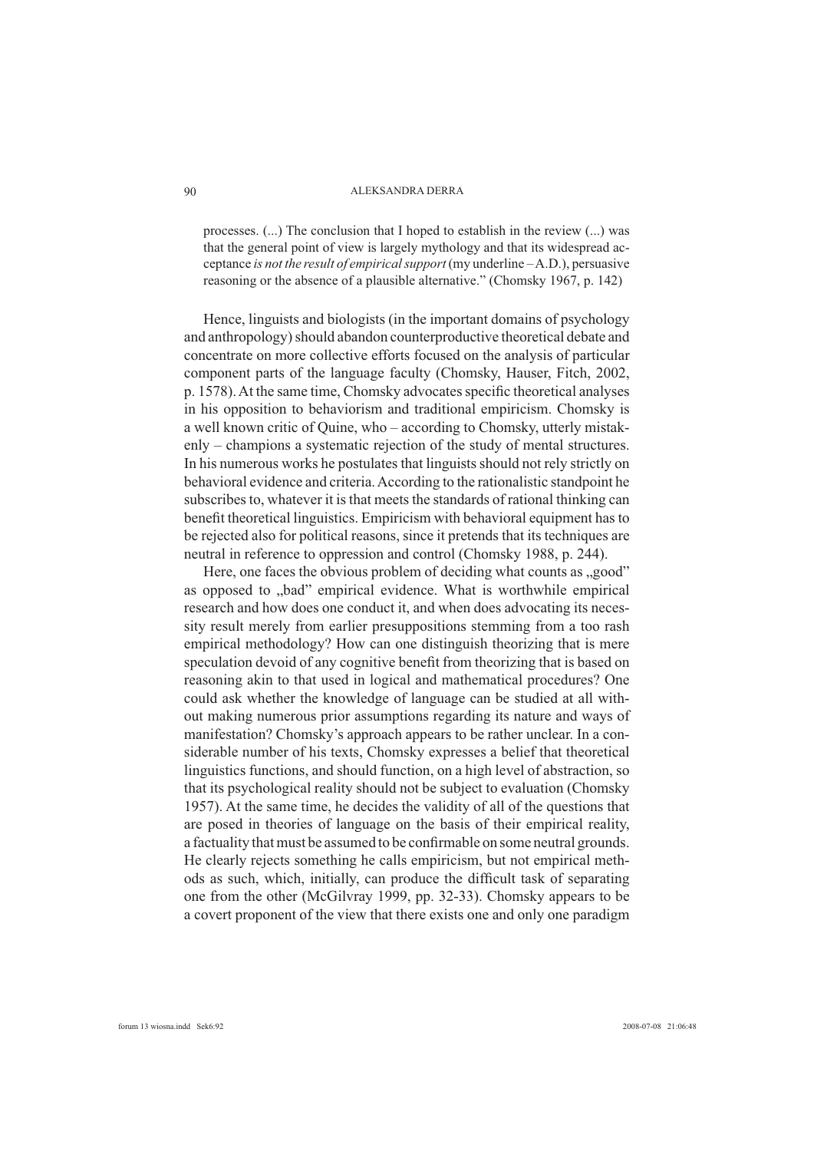processes. (...) The conclusion that I hoped to establish in the review (...) was that the general point of view is largely mythology and that its widespread acceptance *is not the result of empirical support* (my underline – A.D.), persuasive reasoning or the absence of a plausible alternative." (Chomsky 1967, p. 142)

Hence, linguists and biologists (in the important domains of psychology and anthropology) should abandon counterproductive theoretical debate and concentrate on more collective efforts focused on the analysis of particular component parts of the language faculty (Chomsky, Hauser, Fitch, 2002, p. 1578). At the same time, Chomsky advocates specific theoretical analyses in his opposition to behaviorism and traditional empiricism. Chomsky is a well known critic of Quine, who – according to Chomsky, utterly mistakenly – champions a systematic rejection of the study of mental structures. In his numerous works he postulates that linguists should not rely strictly on behavioral evidence and criteria. According to the rationalistic standpoint he subscribes to, whatever it is that meets the standards of rational thinking can benefit theoretical linguistics. Empiricism with behavioral equipment has to be rejected also for political reasons, since it pretends that its techniques are neutral in reference to oppression and control (Chomsky 1988, p. 244).

Here, one faces the obvious problem of deciding what counts as "good" as opposed to "bad" empirical evidence. What is worthwhile empirical research and how does one conduct it, and when does advocating its necessity result merely from earlier presuppositions stemming from a too rash empirical methodology? How can one distinguish theorizing that is mere speculation devoid of any cognitive benefit from theorizing that is based on reasoning akin to that used in logical and mathematical procedures? One could ask whether the knowledge of language can be studied at all without making numerous prior assumptions regarding its nature and ways of manifestation? Chomsky's approach appears to be rather unclear. In a considerable number of his texts, Chomsky expresses a belief that theoretical linguistics functions, and should function, on a high level of abstraction, so that its psychological reality should not be subject to evaluation (Chomsky 1957). At the same time, he decides the validity of all of the questions that are posed in theories of language on the basis of their empirical reality, a factuality that must be assumed to be confirmable on some neutral grounds. He clearly rejects something he calls empiricism, but not empirical methods as such, which, initially, can produce the difficult task of separating one from the other (McGilvray 1999, pp. 32-33). Chomsky appears to be a covert proponent of the view that there exists one and only one paradigm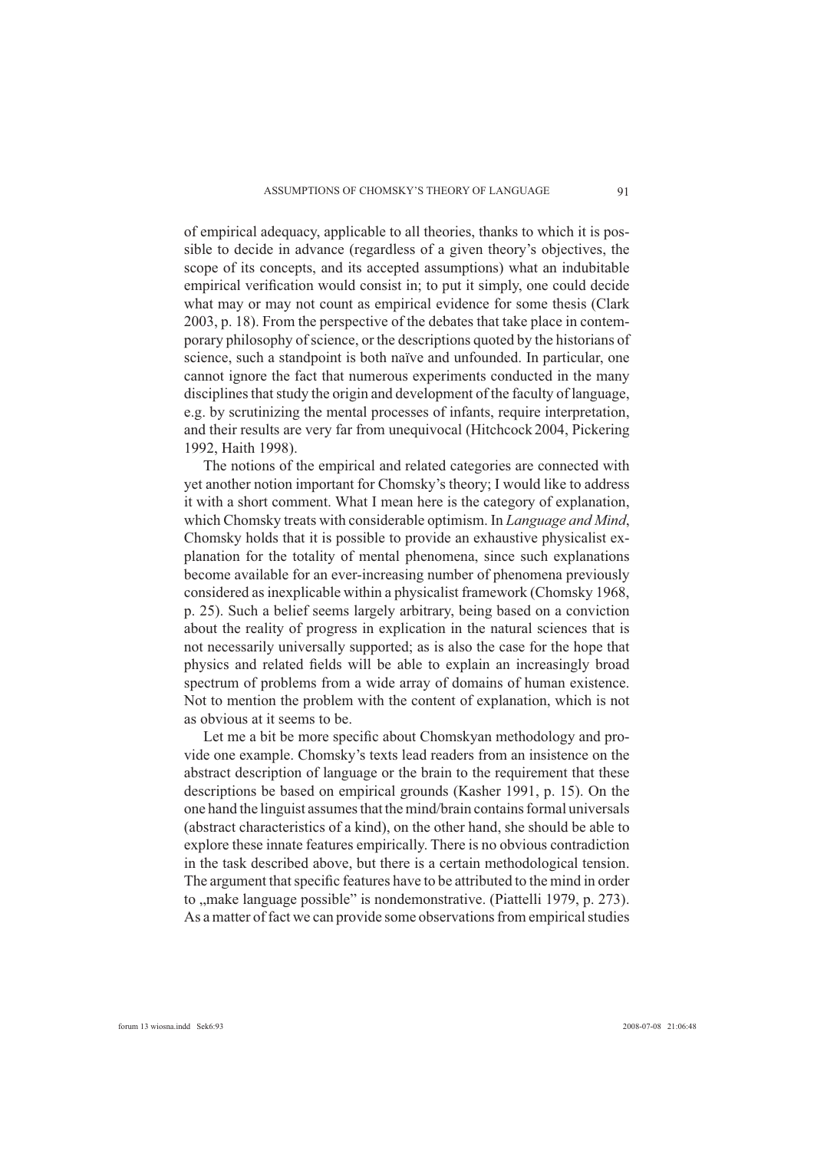of empirical adequacy, applicable to all theories, thanks to which it is possible to decide in advance (regardless of a given theory's objectives, the scope of its concepts, and its accepted assumptions) what an indubitable empirical verification would consist in; to put it simply, one could decide what may or may not count as empirical evidence for some thesis (Clark 2003, p. 18). From the perspective of the debates that take place in contemporary philosophy of science, or the descriptions quoted by the historians of science, such a standpoint is both naïve and unfounded. In particular, one cannot ignore the fact that numerous experiments conducted in the many disciplines that study the origin and development of the faculty of language, e.g. by scrutinizing the mental processes of infants, require interpretation, and their results are very far from unequivocal (Hitchcock 2004, Pickering 1992, Haith 1998).

The notions of the empirical and related categories are connected with yet another notion important for Chomsky's theory; I would like to address it with a short comment. What I mean here is the category of explanation, which Chomsky treats with considerable optimism. In *Language and Mind*, Chomsky holds that it is possible to provide an exhaustive physicalist explanation for the totality of mental phenomena, since such explanations become available for an ever-increasing number of phenomena previously considered as inexplicable within a physicalist framework (Chomsky 1968, p. 25). Such a belief seems largely arbitrary, being based on a conviction about the reality of progress in explication in the natural sciences that is not necessarily universally supported; as is also the case for the hope that physics and related fields will be able to explain an increasingly broad spectrum of problems from a wide array of domains of human existence. Not to mention the problem with the content of explanation, which is not as obvious at it seems to be.

Let me a bit be more specific about Chomskyan methodology and provide one example. Chomsky's texts lead readers from an insistence on the abstract description of language or the brain to the requirement that these descriptions be based on empirical grounds (Kasher 1991, p. 15). On the one hand the linguist assumes that the mind/brain contains formal universals (abstract characteristics of a kind), on the other hand, she should be able to explore these innate features empirically. There is no obvious contradiction in the task described above, but there is a certain methodological tension. The argument that specific features have to be attributed to the mind in order to "make language possible" is nondemonstrative. (Piattelli 1979, p. 273). As a matter of fact we can provide some observations from empirical studies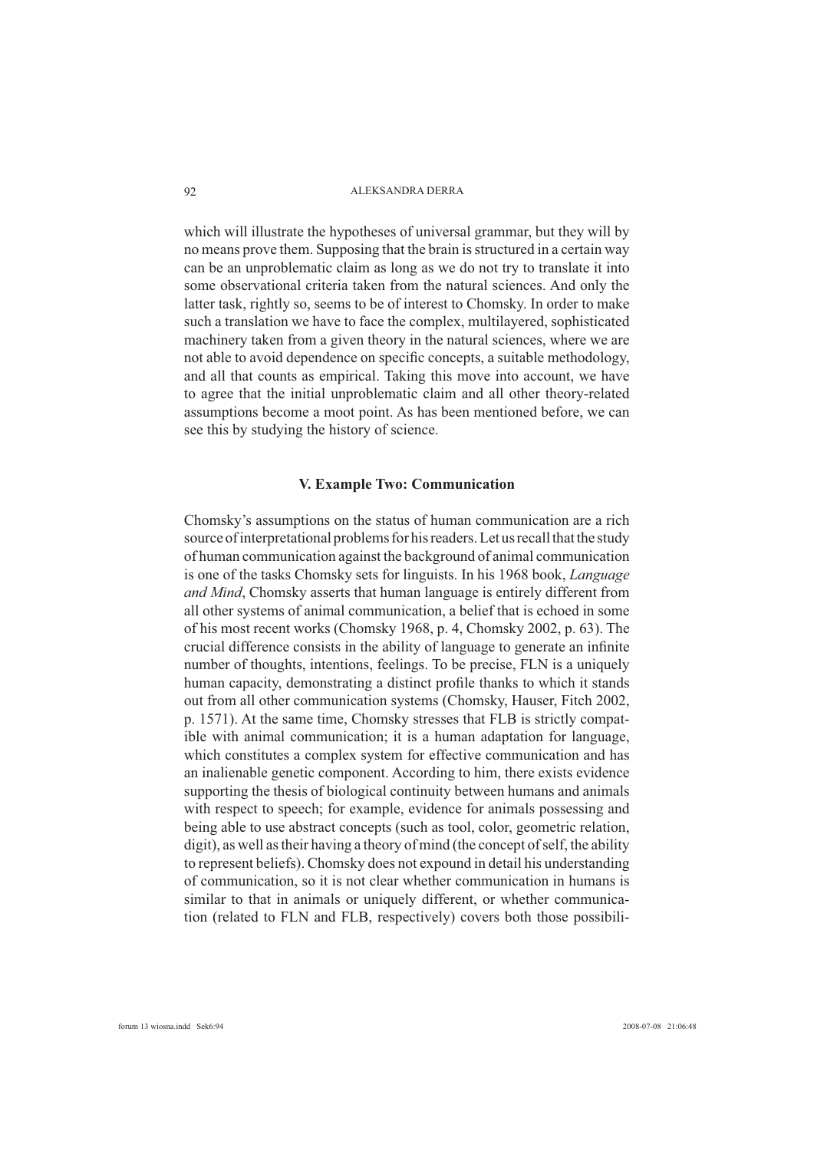which will illustrate the hypotheses of universal grammar, but they will by no means prove them. Supposing that the brain is structured in a certain way can be an unproblematic claim as long as we do not try to translate it into some observational criteria taken from the natural sciences. And only the latter task, rightly so, seems to be of interest to Chomsky. In order to make such a translation we have to face the complex, multilayered, sophisticated machinery taken from a given theory in the natural sciences, where we are not able to avoid dependence on specific concepts, a suitable methodology, and all that counts as empirical. Taking this move into account, we have to agree that the initial unproblematic claim and all other theory-related assumptions become a moot point. As has been mentioned before, we can see this by studying the history of science.

### **V. Example Two: Communication**

Chomsky's assumptions on the status of human communication are a rich source of interpretational problems for his readers. Let us recall that the study of human communication against the background of animal communication is one of the tasks Chomsky sets for linguists. In his 1968 book, *Language and Mind*, Chomsky asserts that human language is entirely different from all other systems of animal communication, a belief that is echoed in some of his most recent works (Chomsky 1968, p. 4, Chomsky 2002, p. 63). The crucial difference consists in the ability of language to generate an infinite number of thoughts, intentions, feelings. To be precise, FLN is a uniquely human capacity, demonstrating a distinct profile thanks to which it stands out from all other communication systems (Chomsky, Hauser, Fitch 2002, p. 1571). At the same time, Chomsky stresses that FLB is strictly compatible with animal communication; it is a human adaptation for language, which constitutes a complex system for effective communication and has an inalienable genetic component. According to him, there exists evidence supporting the thesis of biological continuity between humans and animals with respect to speech; for example, evidence for animals possessing and being able to use abstract concepts (such as tool, color, geometric relation, digit), as well as their having a theory of mind (the concept of self, the ability to represent beliefs). Chomsky does not expound in detail his understanding of communication, so it is not clear whether communication in humans is similar to that in animals or uniquely different, or whether communication (related to FLN and FLB, respectively) covers both those possibili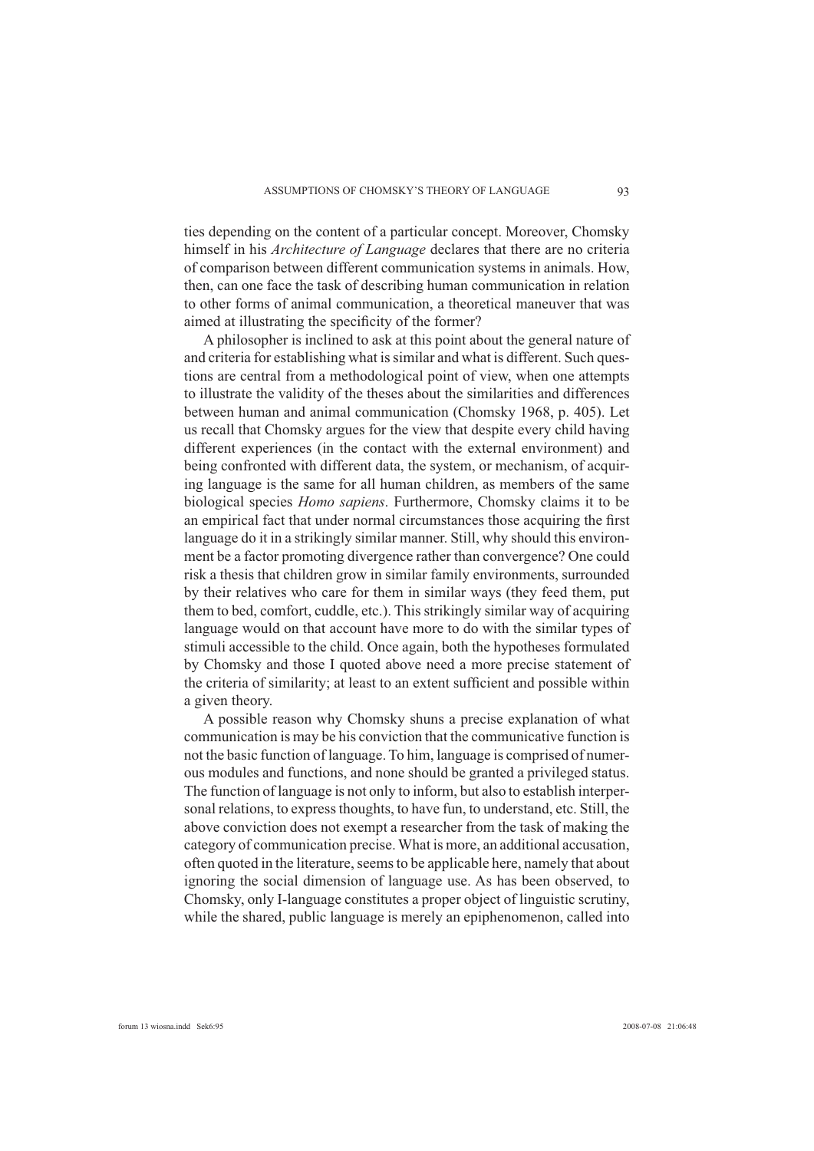ties depending on the content of a particular concept. Moreover, Chomsky himself in his *Architecture of Language* declares that there are no criteria of comparison between different communication systems in animals. How, then, can one face the task of describing human communication in relation to other forms of animal communication, a theoretical maneuver that was aimed at illustrating the specificity of the former?

A philosopher is inclined to ask at this point about the general nature of and criteria for establishing what is similar and what is different. Such questions are central from a methodological point of view, when one attempts to illustrate the validity of the theses about the similarities and differences between human and animal communication (Chomsky 1968, p. 405). Let us recall that Chomsky argues for the view that despite every child having different experiences (in the contact with the external environment) and being confronted with different data, the system, or mechanism, of acquiring language is the same for all human children, as members of the same biological species *Homo sapiens*. Furthermore, Chomsky claims it to be an empirical fact that under normal circumstances those acquiring the first language do it in a strikingly similar manner. Still, why should this environment be a factor promoting divergence rather than convergence? One could risk a thesis that children grow in similar family environments, surrounded by their relatives who care for them in similar ways (they feed them, put them to bed, comfort, cuddle, etc.). This strikingly similar way of acquiring language would on that account have more to do with the similar types of stimuli accessible to the child. Once again, both the hypotheses formulated by Chomsky and those I quoted above need a more precise statement of the criteria of similarity; at least to an extent sufficient and possible within a given theory.

A possible reason why Chomsky shuns a precise explanation of what communication is may be his conviction that the communicative function is not the basic function of language. To him, language is comprised of numerous modules and functions, and none should be granted a privileged status. The function of language is not only to inform, but also to establish interpersonal relations, to express thoughts, to have fun, to understand, etc. Still, the above conviction does not exempt a researcher from the task of making the category of communication precise. What is more, an additional accusation, often quoted in the literature, seems to be applicable here, namely that about ignoring the social dimension of language use. As has been observed, to Chomsky, only I-language constitutes a proper object of linguistic scrutiny, while the shared, public language is merely an epiphenomenon, called into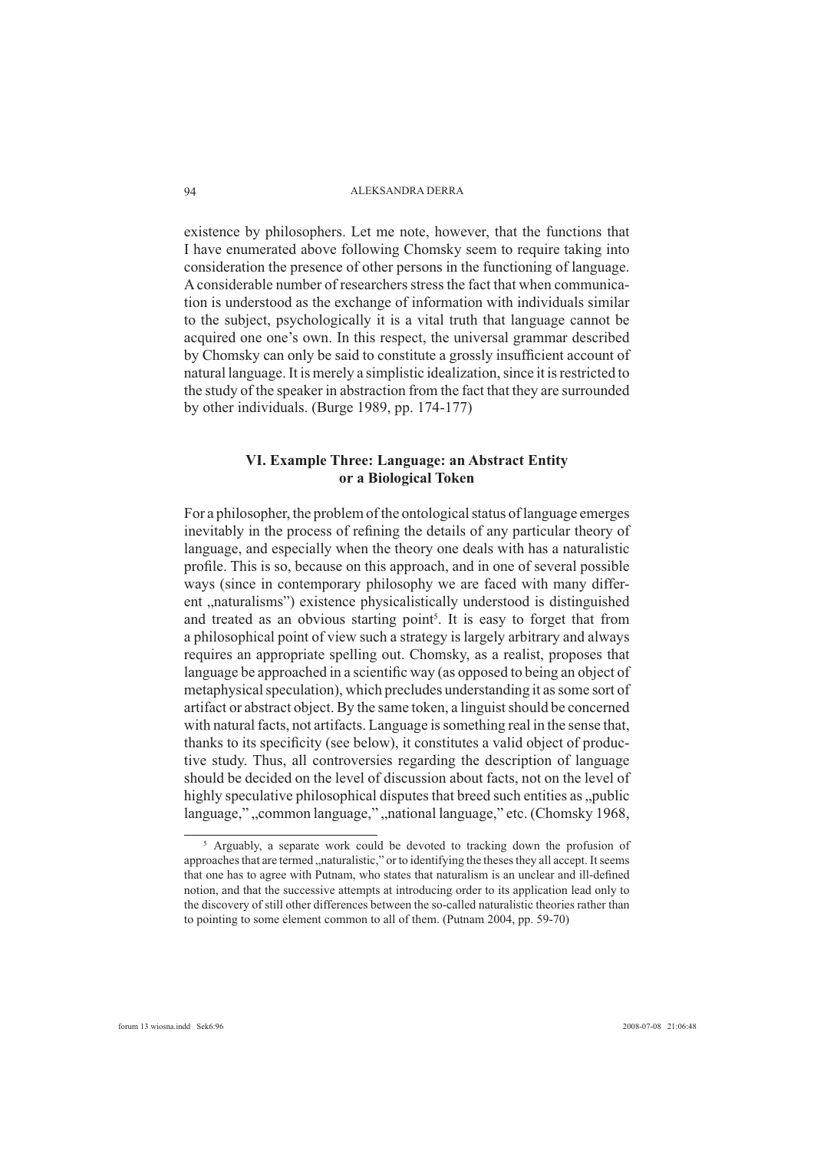existence by philosophers. Let me note, however, that the functions that I have enumerated above following Chomsky seem to require taking into consideration the presence of other persons in the functioning of language. A considerable number of researchers stress the fact that when communication is understood as the exchange of information with individuals similar to the subject, psychologically it is a vital truth that language cannot be acquired one one's own. In this respect, the universal grammar described by Chomsky can only be said to constitute a grossly insufficient account of natural language. It is merely a simplistic idealization, since it is restricted to the study of the speaker in abstraction from the fact that they are surrounded by other individuals. (Burge 1989, pp. 174-177)

# **VI. Example Three: Language: an Abstract Entity or a Biological Token**

For a philosopher, the problem of the ontological status of language emerges inevitably in the process of refining the details of any particular theory of language, and especially when the theory one deals with has a naturalistic profile. This is so, because on this approach, and in one of several possible ways (since in contemporary philosophy we are faced with many different "naturalisms") existence physicalistically understood is distinguished and treated as an obvious starting point<sup>5</sup>. It is easy to forget that from a philosophical point of view such a strategy is largely arbitrary and always requires an appropriate spelling out. Chomsky, as a realist, proposes that language be approached in a scientific way (as opposed to being an object of metaphysical speculation), which precludes understanding it as some sort of artifact or abstract object. By the same token, a linguist should be concerned with natural facts, not artifacts. Language is something real in the sense that, thanks to its specificity (see below), it constitutes a valid object of productive study. Thus, all controversies regarding the description of language should be decided on the level of discussion about facts, not on the level of highly speculative philosophical disputes that breed such entities as "public language,",,common language,",,national language," etc. (Chomsky 1968,

<sup>&</sup>lt;sup>5</sup> Arguably, a separate work could be devoted to tracking down the profusion of approaches that are termed "naturalistic," or to identifying the theses they all accept. It seems that one has to agree with Putnam, who states that naturalism is an unclear and ill-defined notion, and that the successive attempts at introducing order to its application lead only to the discovery of still other differences between the so-called naturalistic theories rather than to pointing to some element common to all of them. (Putnam 2004, pp. 59-70)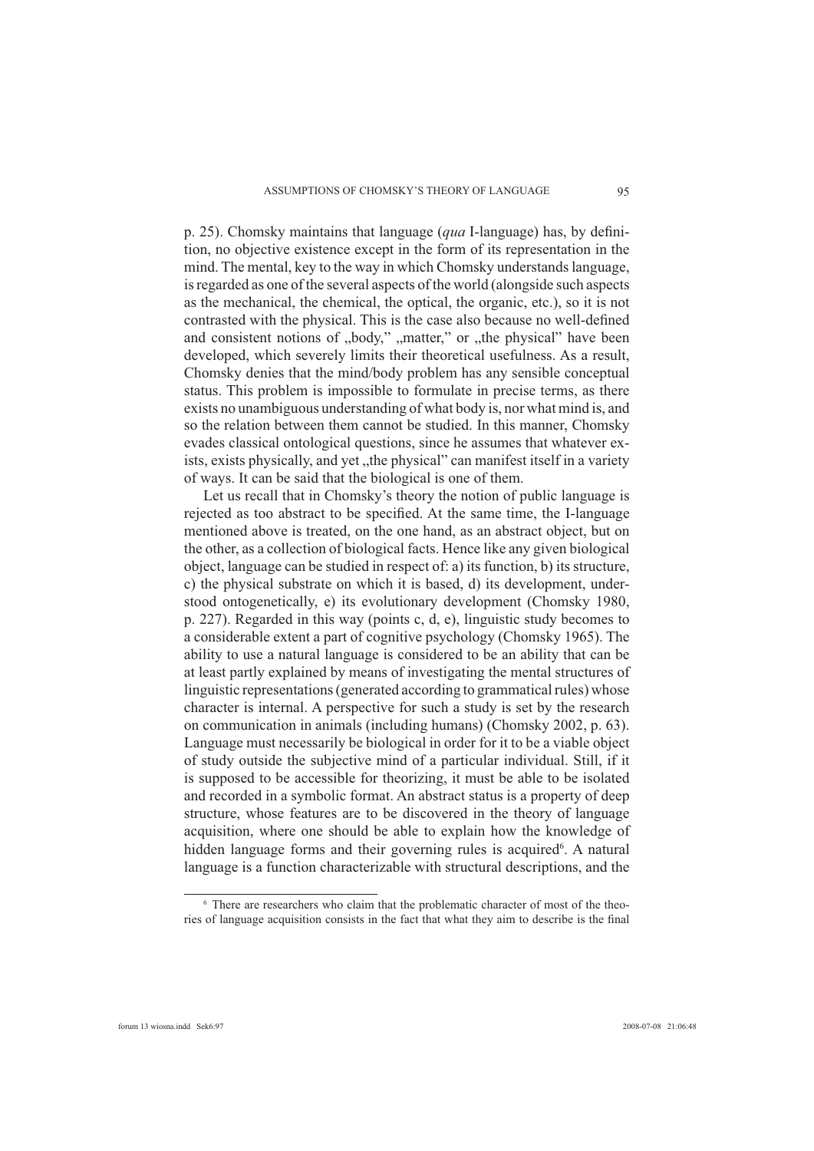p. 25). Chomsky maintains that language (*qua* I-language) has, by definition, no objective existence except in the form of its representation in the mind. The mental, key to the way in which Chomsky understands language, is regarded as one of the several aspects of the world (alongside such aspects as the mechanical, the chemical, the optical, the organic, etc.), so it is not contrasted with the physical. This is the case also because no well-defined and consistent notions of "body," "matter," or "the physical" have been developed, which severely limits their theoretical usefulness. As a result, Chomsky denies that the mind/body problem has any sensible conceptual status. This problem is impossible to formulate in precise terms, as there exists no unambiguous understanding of what body is, nor what mind is, and so the relation between them cannot be studied. In this manner, Chomsky evades classical ontological questions, since he assumes that whatever exists, exists physically, and yet "the physical" can manifest itself in a variety of ways. It can be said that the biological is one of them.

Let us recall that in Chomsky's theory the notion of public language is rejected as too abstract to be specified. At the same time, the I-language mentioned above is treated, on the one hand, as an abstract object, but on the other, as a collection of biological facts. Hence like any given biological object, language can be studied in respect of: a) its function, b) its structure, c) the physical substrate on which it is based, d) its development, understood ontogenetically, e) its evolutionary development (Chomsky 1980, p. 227). Regarded in this way (points c, d, e), linguistic study becomes to a considerable extent a part of cognitive psychology (Chomsky 1965). The ability to use a natural language is considered to be an ability that can be at least partly explained by means of investigating the mental structures of linguistic representations (generated according to grammatical rules) whose character is internal. A perspective for such a study is set by the research on communication in animals (including humans) (Chomsky 2002, p. 63). Language must necessarily be biological in order for it to be a viable object of study outside the subjective mind of a particular individual. Still, if it is supposed to be accessible for theorizing, it must be able to be isolated and recorded in a symbolic format. An abstract status is a property of deep structure, whose features are to be discovered in the theory of language acquisition, where one should be able to explain how the knowledge of hidden language forms and their governing rules is acquired<sup>6</sup>. A natural language is a function characterizable with structural descriptions, and the

<sup>&</sup>lt;sup>6</sup> There are researchers who claim that the problematic character of most of the theories of language acquisition consists in the fact that what they aim to describe is the final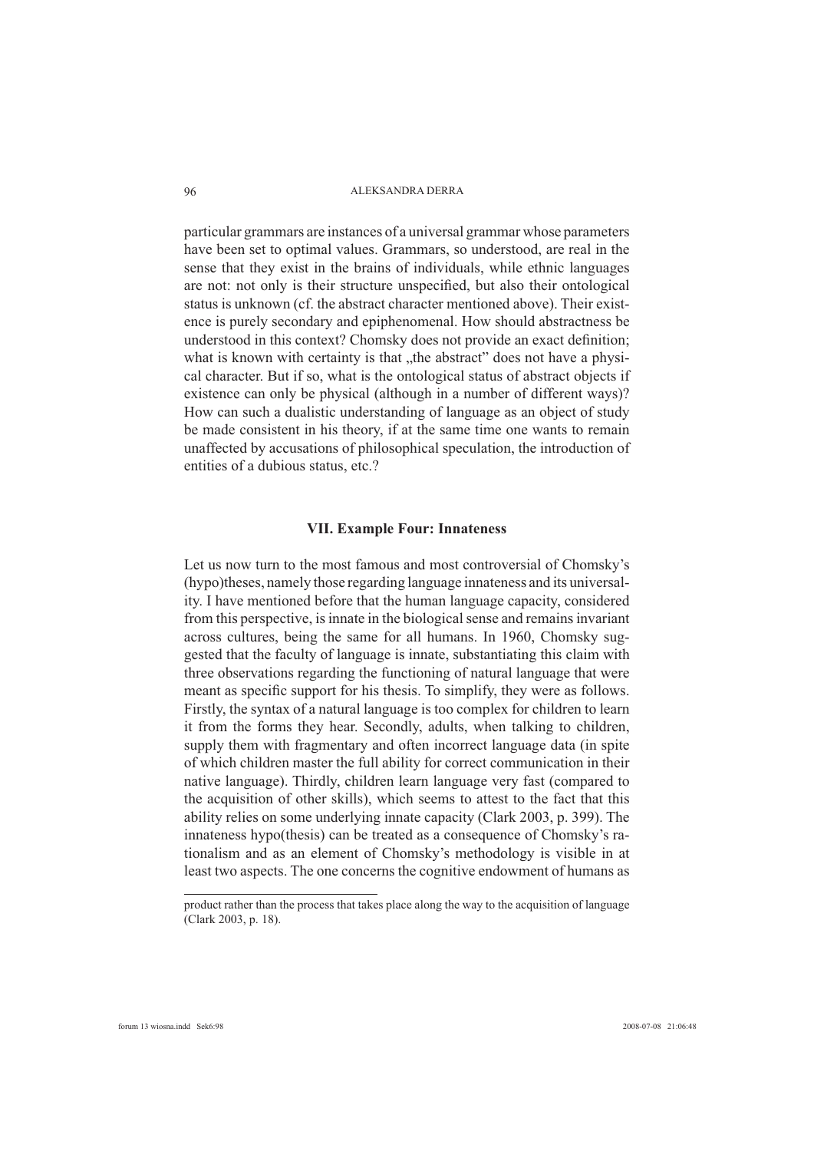particular grammars are instances of a universal grammar whose parameters have been set to optimal values. Grammars, so understood, are real in the sense that they exist in the brains of individuals, while ethnic languages are not: not only is their structure unspecified, but also their ontological status is unknown (cf. the abstract character mentioned above). Their existence is purely secondary and epiphenomenal. How should abstractness be understood in this context? Chomsky does not provide an exact definition; what is known with certainty is that "the abstract" does not have a physical character. But if so, what is the ontological status of abstract objects if existence can only be physical (although in a number of different ways)? How can such a dualistic understanding of language as an object of study be made consistent in his theory, if at the same time one wants to remain unaffected by accusations of philosophical speculation, the introduction of entities of a dubious status, etc.?

#### **VII. Example Four: Innateness**

Let us now turn to the most famous and most controversial of Chomsky's (hypo)theses, namely those regarding language innateness and its universality. I have mentioned before that the human language capacity, considered from this perspective, is innate in the biological sense and remains invariant across cultures, being the same for all humans. In 1960, Chomsky suggested that the faculty of language is innate, substantiating this claim with three observations regarding the functioning of natural language that were meant as specific support for his thesis. To simplify, they were as follows. Firstly, the syntax of a natural language is too complex for children to learn it from the forms they hear. Secondly, adults, when talking to children, supply them with fragmentary and often incorrect language data (in spite of which children master the full ability for correct communication in their native language). Thirdly, children learn language very fast (compared to the acquisition of other skills), which seems to attest to the fact that this ability relies on some underlying innate capacity (Clark 2003, p. 399). The innateness hypo(thesis) can be treated as a consequence of Chomsky's rationalism and as an element of Chomsky's methodology is visible in at least two aspects. The one concerns the cognitive endowment of humans as

product rather than the process that takes place along the way to the acquisition of language (Clark 2003, p. 18).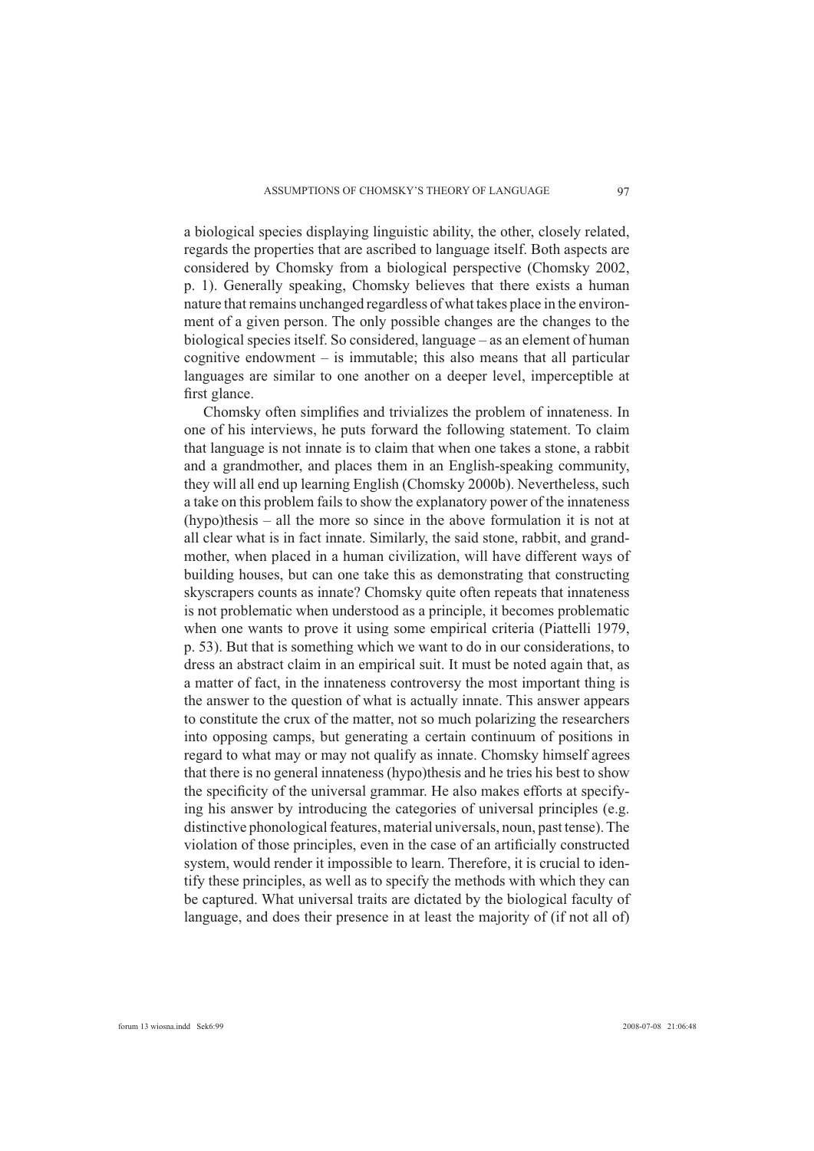a biological species displaying linguistic ability, the other, closely related, regards the properties that are ascribed to language itself. Both aspects are considered by Chomsky from a biological perspective (Chomsky 2002, p. 1). Generally speaking, Chomsky believes that there exists a human nature that remains unchanged regardless of what takes place in the environment of a given person. The only possible changes are the changes to the biological species itself. So considered, language – as an element of human cognitive endowment – is immutable; this also means that all particular languages are similar to one another on a deeper level, imperceptible at first glance.

Chomsky often simplifies and trivializes the problem of innateness. In one of his interviews, he puts forward the following statement. To claim that language is not innate is to claim that when one takes a stone, a rabbit and a grandmother, and places them in an English-speaking community, they will all end up learning English (Chomsky 2000b). Nevertheless, such a take on this problem fails to show the explanatory power of the innateness (hypo)thesis – all the more so since in the above formulation it is not at all clear what is in fact innate. Similarly, the said stone, rabbit, and grandmother, when placed in a human civilization, will have different ways of building houses, but can one take this as demonstrating that constructing skyscrapers counts as innate? Chomsky quite often repeats that innateness is not problematic when understood as a principle, it becomes problematic when one wants to prove it using some empirical criteria (Piattelli 1979, p. 53). But that is something which we want to do in our considerations, to dress an abstract claim in an empirical suit. It must be noted again that, as a matter of fact, in the innateness controversy the most important thing is the answer to the question of what is actually innate. This answer appears to constitute the crux of the matter, not so much polarizing the researchers into opposing camps, but generating a certain continuum of positions in regard to what may or may not qualify as innate. Chomsky himself agrees that there is no general innateness (hypo)thesis and he tries his best to show the specificity of the universal grammar. He also makes efforts at specifying his answer by introducing the categories of universal principles (e.g. distinctive phonological features, material universals, noun, past tense). The violation of those principles, even in the case of an artificially constructed system, would render it impossible to learn. Therefore, it is crucial to identify these principles, as well as to specify the methods with which they can be captured. What universal traits are dictated by the biological faculty of language, and does their presence in at least the majority of (if not all of)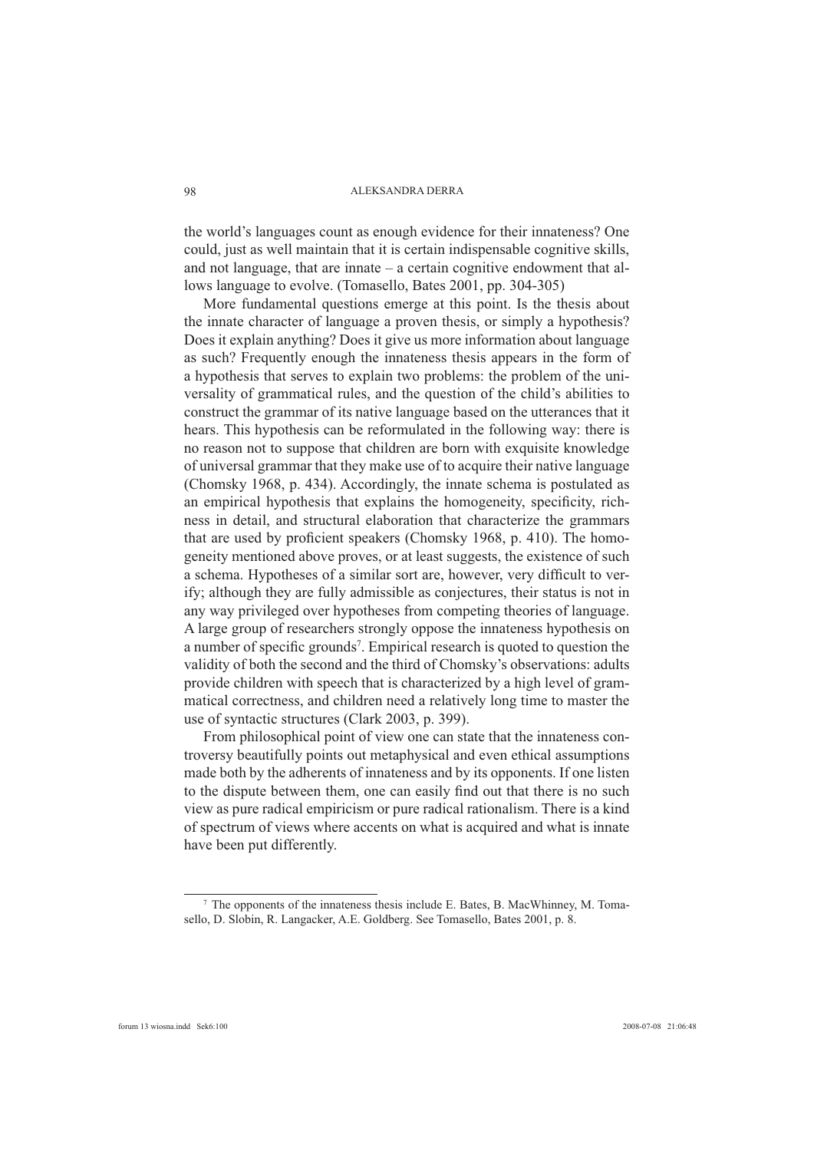the world's languages count as enough evidence for their innateness? One could, just as well maintain that it is certain indispensable cognitive skills, and not language, that are innate – a certain cognitive endowment that allows language to evolve. (Tomasello, Bates 2001, pp. 304-305)

More fundamental questions emerge at this point. Is the thesis about the innate character of language a proven thesis, or simply a hypothesis? Does it explain anything? Does it give us more information about language as such? Frequently enough the innateness thesis appears in the form of a hypothesis that serves to explain two problems: the problem of the universality of grammatical rules, and the question of the child's abilities to construct the grammar of its native language based on the utterances that it hears. This hypothesis can be reformulated in the following way: there is no reason not to suppose that children are born with exquisite knowledge of universal grammar that they make use of to acquire their native language (Chomsky 1968, p. 434). Accordingly, the innate schema is postulated as an empirical hypothesis that explains the homogeneity, specificity, richness in detail, and structural elaboration that characterize the grammars that are used by proficient speakers (Chomsky 1968, p. 410). The homogeneity mentioned above proves, or at least suggests, the existence of such a schema. Hypotheses of a similar sort are, however, very difficult to verify; although they are fully admissible as conjectures, their status is not in any way privileged over hypotheses from competing theories of language. A large group of researchers strongly oppose the innateness hypothesis on a number of specific grounds<sup>7</sup>. Empirical research is quoted to question the validity of both the second and the third of Chomsky's observations: adults provide children with speech that is characterized by a high level of grammatical correctness, and children need a relatively long time to master the use of syntactic structures (Clark 2003, p. 399).

From philosophical point of view one can state that the innateness controversy beautifully points out metaphysical and even ethical assumptions made both by the adherents of innateness and by its opponents. If one listen to the dispute between them, one can easily find out that there is no such view as pure radical empiricism or pure radical rationalism. There is a kind of spectrum of views where accents on what is acquired and what is innate have been put differently.

<sup>7</sup> The opponents of the innateness thesis include E. Bates, B. MacWhinney, M. Tomasello, D. Slobin, R. Langacker, A.E. Goldberg. See Tomasello, Bates 2001, p. 8.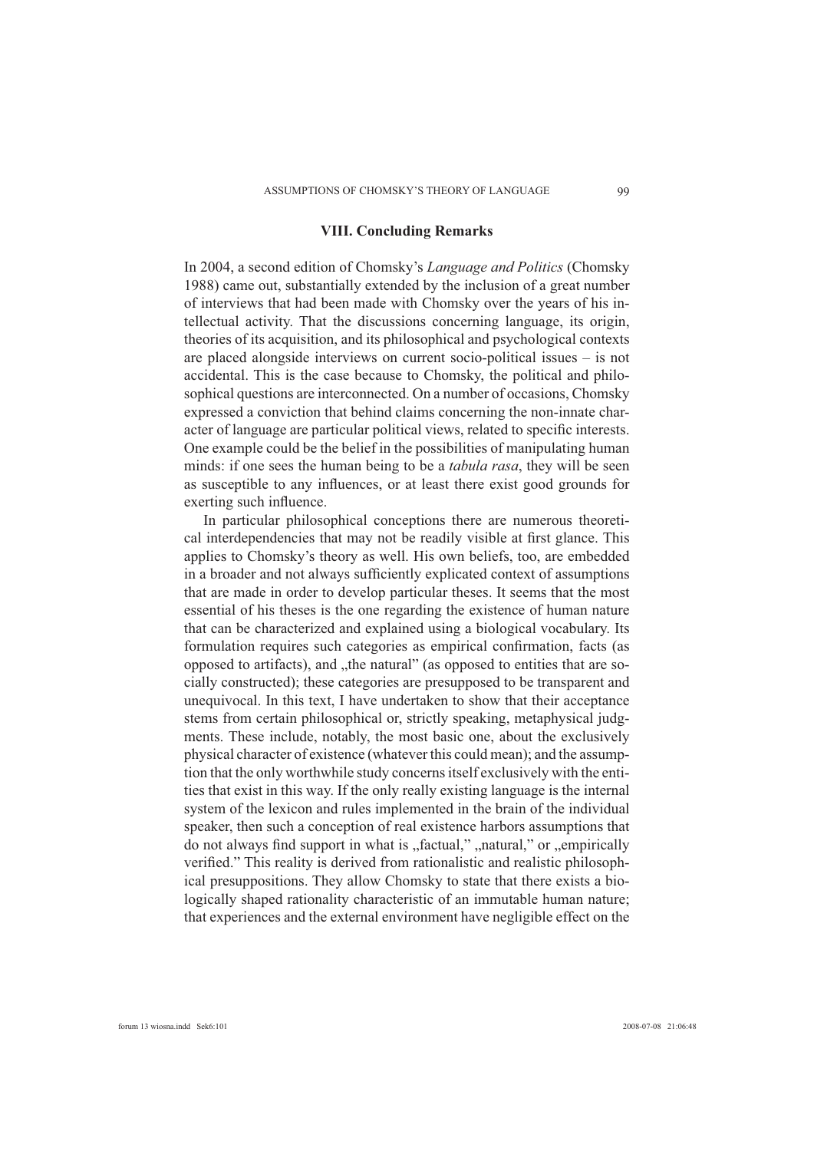### **VIII. Concluding Remarks**

In 2004, a second edition of Chomsky's *Language and Politics* (Chomsky 1988) came out, substantially extended by the inclusion of a great number of interviews that had been made with Chomsky over the years of his intellectual activity. That the discussions concerning language, its origin, theories of its acquisition, and its philosophical and psychological contexts are placed alongside interviews on current socio-political issues – is not accidental. This is the case because to Chomsky, the political and philosophical questions are interconnected. On a number of occasions, Chomsky expressed a conviction that behind claims concerning the non-innate character of language are particular political views, related to specific interests. One example could be the belief in the possibilities of manipulating human minds: if one sees the human being to be a *tabula rasa*, they will be seen as susceptible to any influences, or at least there exist good grounds for exerting such influence.

In particular philosophical conceptions there are numerous theoretical interdependencies that may not be readily visible at first glance. This applies to Chomsky's theory as well. His own beliefs, too, are embedded in a broader and not always sufficiently explicated context of assumptions that are made in order to develop particular theses. It seems that the most essential of his theses is the one regarding the existence of human nature that can be characterized and explained using a biological vocabulary. Its formulation requires such categories as empirical confirmation, facts (as opposed to artifacts), and "the natural" (as opposed to entities that are socially constructed); these categories are presupposed to be transparent and unequivocal. In this text, I have undertaken to show that their acceptance stems from certain philosophical or, strictly speaking, metaphysical judgments. These include, notably, the most basic one, about the exclusively physical character of existence (whatever this could mean); and the assumption that the only worthwhile study concerns itself exclusively with the entities that exist in this way. If the only really existing language is the internal system of the lexicon and rules implemented in the brain of the individual speaker, then such a conception of real existence harbors assumptions that do not always find support in what is "factual," "natural," or "empirically verified." This reality is derived from rationalistic and realistic philosophical presuppositions. They allow Chomsky to state that there exists a biologically shaped rationality characteristic of an immutable human nature; that experiences and the external environment have negligible effect on the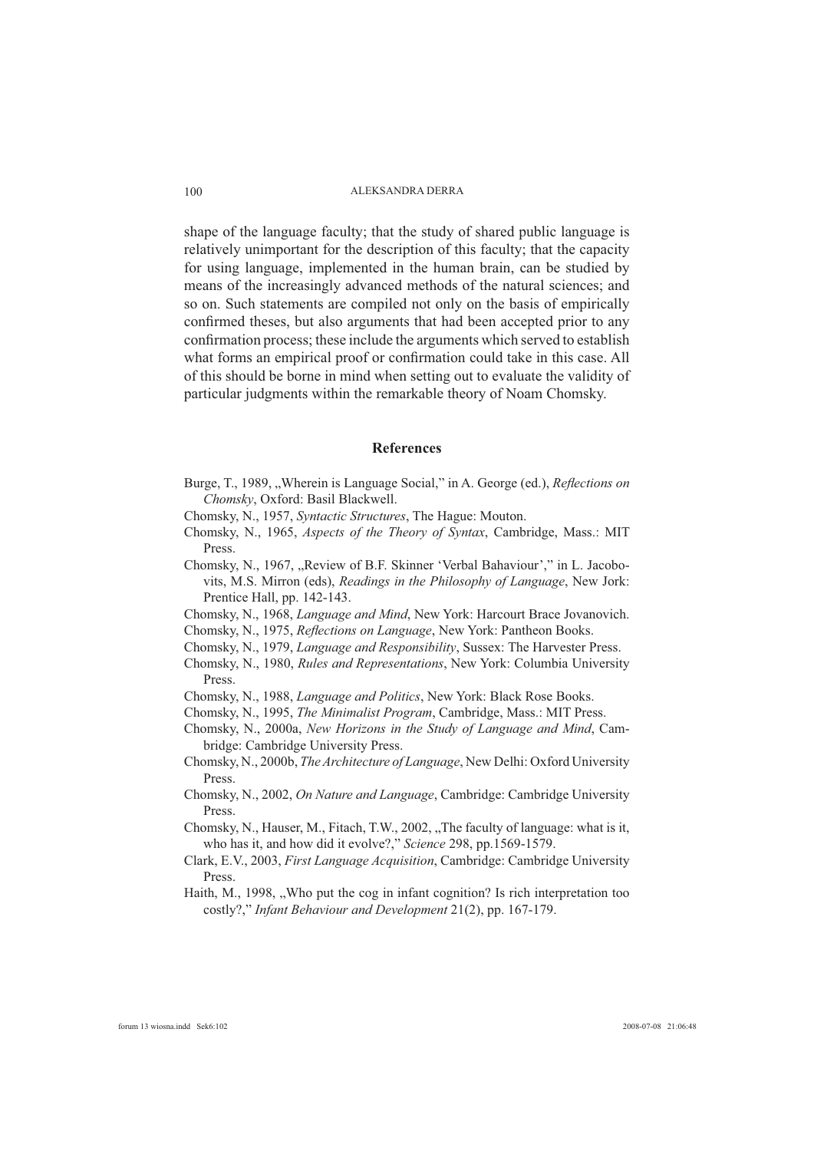shape of the language faculty; that the study of shared public language is relatively unimportant for the description of this faculty; that the capacity for using language, implemented in the human brain, can be studied by means of the increasingly advanced methods of the natural sciences; and so on. Such statements are compiled not only on the basis of empirically confirmed theses, but also arguments that had been accepted prior to any confirmation process; these include the arguments which served to establish what forms an empirical proof or confirmation could take in this case. All of this should be borne in mind when setting out to evaluate the validity of particular judgments within the remarkable theory of Noam Chomsky.

#### **References**

- Burge, T., 1989, "Wherein is Language Social," in A. George (ed.), *Reflections on Chomsky*, Oxford: Basil Blackwell.
- Chomsky, N., 1957, *Syntactic Structures*, The Hague: Mouton.
- Chomsky, N., 1965, *Aspects of the Theory of Syntax*, Cambridge, Mass.: MIT Press.
- Chomsky, N., 1967, "Review of B.F. Skinner 'Verbal Bahaviour'," in L. Jacobovits, M.S. Mirron (eds), *Readings in the Philosophy of Language*, New Jork: Prentice Hall, pp. 142-143.
- Chomsky, N., 1968, *Language and Mind*, New York: Harcourt Brace Jovanovich.

Chomsky, N., 1975, *Reflections on Language*, New York: Pantheon Books.

- Chomsky, N., 1979, *Language and Responsibility*, Sussex: The Harvester Press.
- Chomsky, N., 1980, *Rules and Representations*, New York: Columbia University Press.
- Chomsky, N., 1988, *Language and Politics*, New York: Black Rose Books.
- Chomsky, N., 1995, *The Minimalist Program*, Cambridge, Mass.: MIT Press.
- Chomsky, N., 2000a, *New Horizons in the Study of Language and Mind*, Cambridge: Cambridge University Press.
- Chomsky, N., 2000b, *The Architecture of Language*, New Delhi: Oxford University Press.
- Chomsky, N., 2002, *On Nature and Language*, Cambridge: Cambridge University Press.
- Chomsky, N., Hauser, M., Fitach, T.W., 2002, "The faculty of language: what is it, who has it, and how did it evolve?," *Science* 298, pp.1569-1579.
- Clark, E.V., 2003, *First Language Acquisition*, Cambridge: Cambridge University Press.
- Haith, M., 1998, "Who put the cog in infant cognition? Is rich interpretation too costly?," *Infant Behaviour and Development* 21(2), pp. 167-179.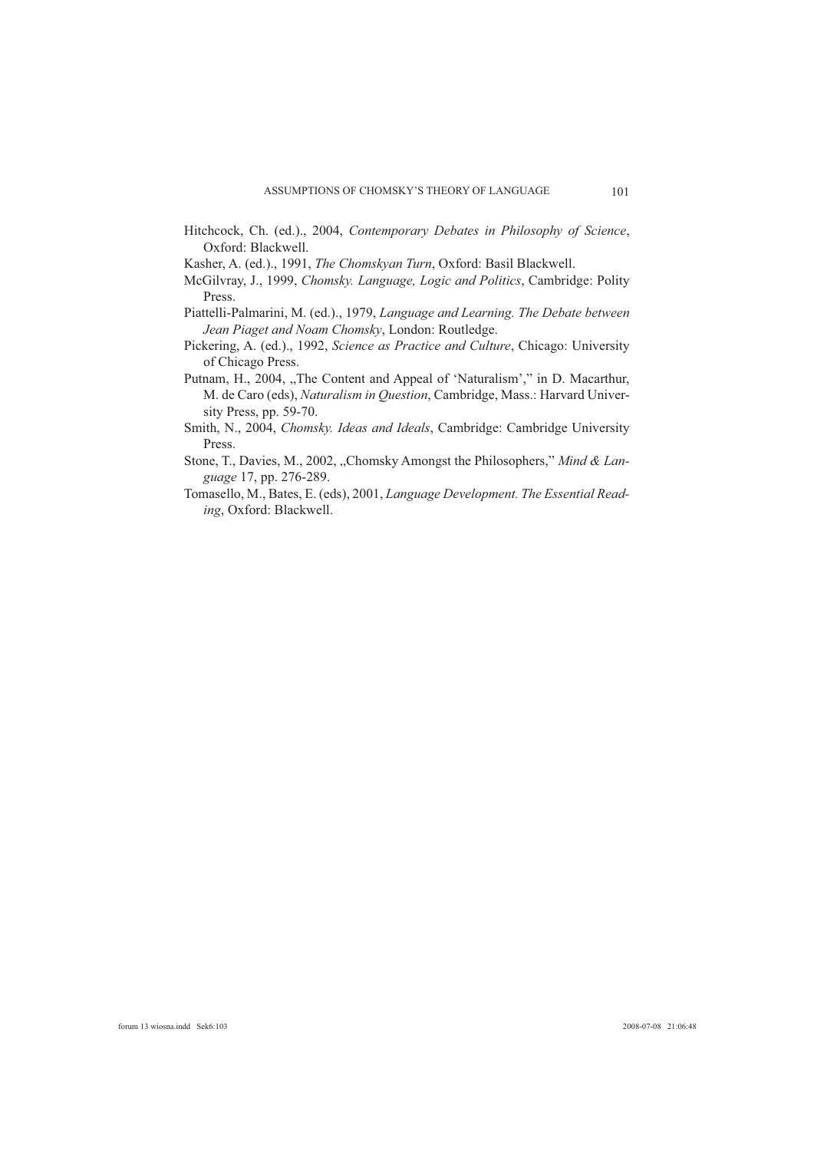- Hitchcock, Ch. (ed.)., 2004, *Contemporary Debates in Philosophy of Science*, Oxford: Blackwell.
- Kasher, A. (ed.)., 1991, *The Chomskyan Turn*, Oxford: Basil Blackwell.
- McGilvray, J., 1999, *Chomsky. Language, Logic and Politics*, Cambridge: Polity Press.
- Piattelli-Palmarini, M. (ed.)., 1979, *Language and Learning. The Debate between Jean Piaget and Noam Chomsky*, London: Routledge.
- Pickering, A. (ed.)., 1992, *Science as Practice and Culture*, Chicago: University of Chicago Press.
- Putnam, H., 2004, "The Content and Appeal of 'Naturalism'," in D. Macarthur, M. de Caro (eds), *Naturalism in Question*, Cambridge, Mass.: Harvard University Press, pp. 59-70.
- Smith, N., 2004, *Chomsky. Ideas and Ideals*, Cambridge: Cambridge University Press.
- Stone, T., Davies, M., 2002, "Chomsky Amongst the Philosophers," *Mind & Language* 17, pp. 276-289.
- Tomasello, M., Bates, E. (eds), 2001, *Language Development. The Essential Reading*, Oxford: Blackwell.